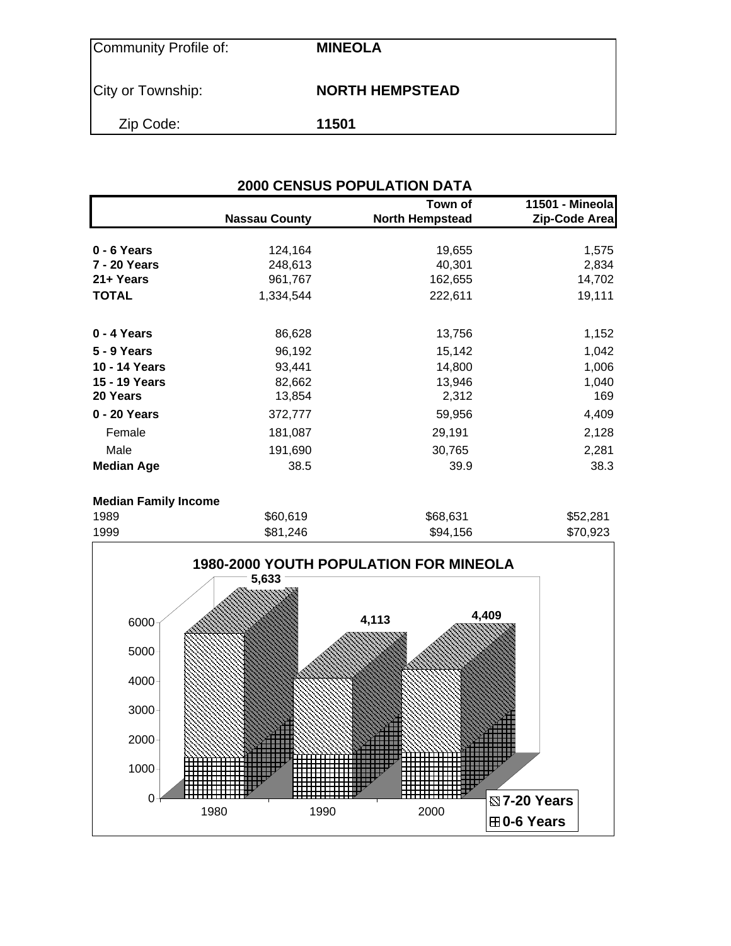| Community Profile of: | <b>MINEOLA</b>         |
|-----------------------|------------------------|
| City or Township:     | <b>NORTH HEMPSTEAD</b> |
| Zip Code:             | 11501                  |

| <b>2000 CENSUS POPULATION DATA</b> |                      |                                   |                                  |  |  |  |  |  |  |
|------------------------------------|----------------------|-----------------------------------|----------------------------------|--|--|--|--|--|--|
|                                    | <b>Nassau County</b> | Town of<br><b>North Hempstead</b> | 11501 - Mineola<br>Zip-Code Area |  |  |  |  |  |  |
| 0 - 6 Years                        | 124,164              | 19,655                            | 1,575                            |  |  |  |  |  |  |
| <b>7 - 20 Years</b>                | 248,613              | 40,301                            | 2,834                            |  |  |  |  |  |  |
| 21+ Years                          | 961,767              | 162,655                           | 14,702                           |  |  |  |  |  |  |
| <b>TOTAL</b>                       | 1,334,544            | 222,611                           | 19,111                           |  |  |  |  |  |  |
| 0 - 4 Years                        | 86,628               | 13,756                            | 1,152                            |  |  |  |  |  |  |
| 5 - 9 Years                        | 96,192               | 15,142                            | 1,042                            |  |  |  |  |  |  |
| 10 - 14 Years                      | 93,441               | 14,800                            | 1,006                            |  |  |  |  |  |  |
| 15 - 19 Years                      | 82,662               | 13,946                            | 1,040                            |  |  |  |  |  |  |
| 20 Years                           | 13,854               | 2,312                             | 169                              |  |  |  |  |  |  |
| 0 - 20 Years                       | 372,777              | 59,956                            | 4,409                            |  |  |  |  |  |  |
| Female                             | 181,087              | 29,191                            | 2,128                            |  |  |  |  |  |  |
| Male                               | 191,690              | 30,765                            | 2,281                            |  |  |  |  |  |  |
| <b>Median Age</b>                  | 38.5                 | 39.9                              | 38.3                             |  |  |  |  |  |  |
|                                    |                      |                                   |                                  |  |  |  |  |  |  |

### **Median Family Income**

| 1989 | \$60,619 | \$68,631 | \$52,281 |
|------|----------|----------|----------|
| 1999 | \$81,246 | \$94,156 | \$70,923 |

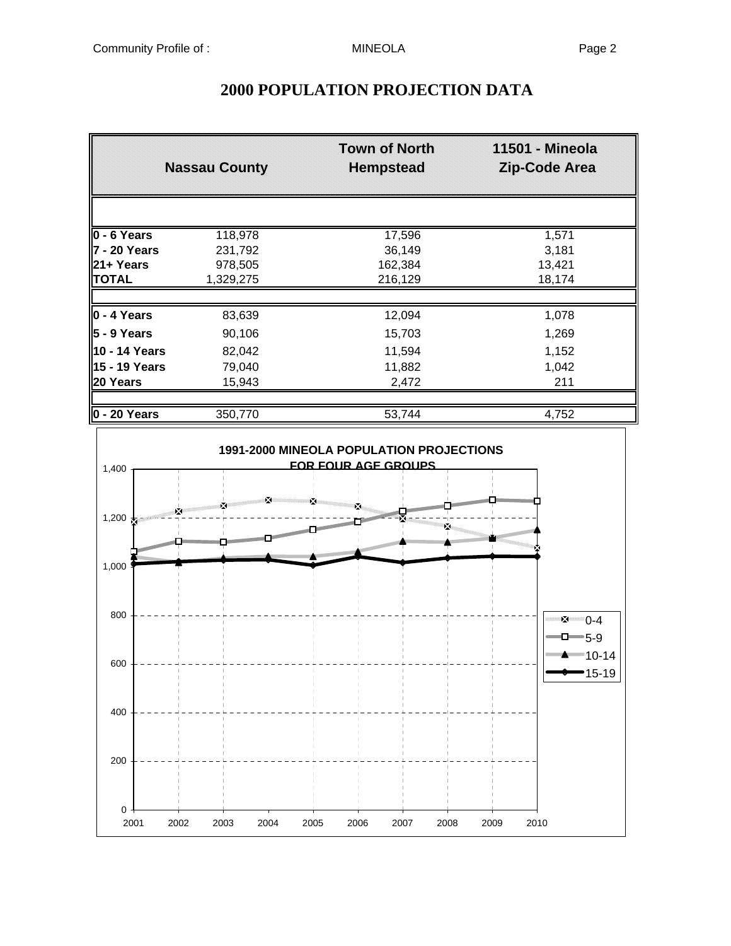|                 | <b>Nassau County</b> | <b>Town of North</b><br><b>Hempstead</b> | 11501 - Mineola<br>Zip-Code Area |
|-----------------|----------------------|------------------------------------------|----------------------------------|
|                 |                      |                                          |                                  |
| $0 - 6$ Years   | 118,978              | 17,596                                   | 1,571                            |
| 7 - 20 Years    | 231,792              | 36,149                                   | 3,181                            |
| 21+ Years       | 978,505              | 162,384                                  | 13,421                           |
| <b>TOTAL</b>    | 1,329,275            | 216,129                                  | 18,174                           |
|                 |                      |                                          |                                  |
| 0 - 4 Years     | 83,639               | 12,094                                   | 1,078                            |
| l5 - 9 Years    | 90,106               | 15,703                                   | 1,269                            |
| 10 - 14 Years   | 82,042               | 11,594                                   | 1,152                            |
| 15 - 19 Years   | 79,040               | 11,882                                   | 1,042                            |
| 20 Years        | 15,943               | 2,472                                    | 211                              |
| $ 0 - 20$ Years | 350,770              | 53,744                                   | 4,752                            |



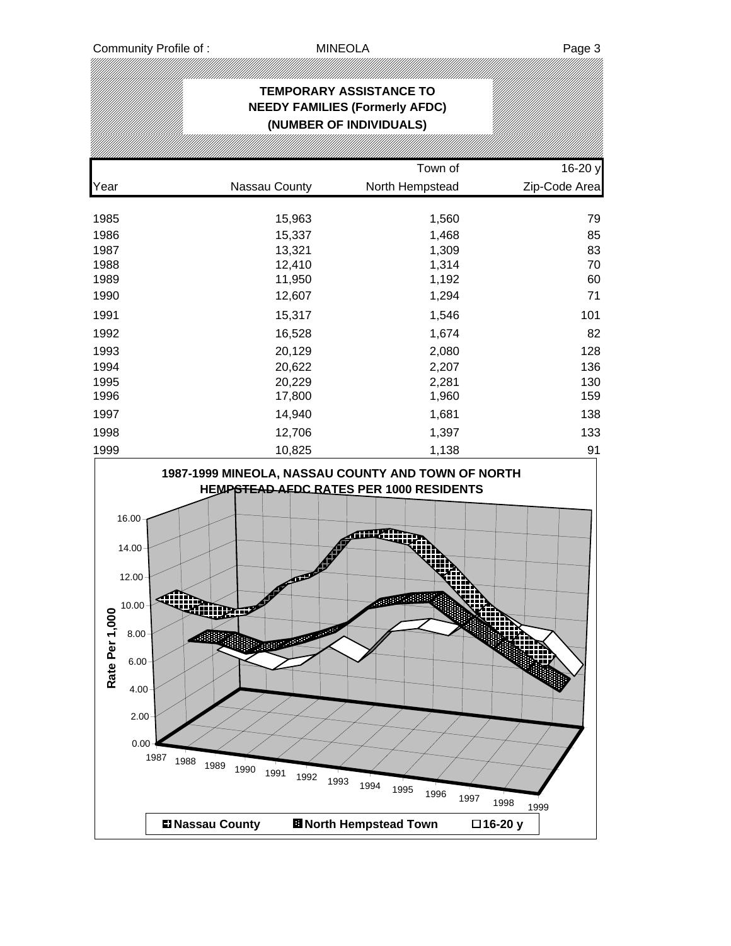|                                                                                     |                                                                                                                             | <b>TEMPORARY ASSISTANCE TO</b><br><b>NEEDY FAMILIES (Formerly AFDC)</b>                    |                      |
|-------------------------------------------------------------------------------------|-----------------------------------------------------------------------------------------------------------------------------|--------------------------------------------------------------------------------------------|----------------------|
|                                                                                     |                                                                                                                             | (NUMBER OF INDIVIDUALS)                                                                    |                      |
|                                                                                     |                                                                                                                             | Town of                                                                                    | 16-20 y              |
| Year                                                                                | Nassau County                                                                                                               | North Hempstead                                                                            | Zip-Code Area        |
| 1985                                                                                | 15,963                                                                                                                      | 1,560                                                                                      | 79                   |
| 1986                                                                                | 15,337                                                                                                                      | 1,468                                                                                      | 85                   |
| 1987                                                                                | 13,321                                                                                                                      | 1,309                                                                                      | 83                   |
| 1988                                                                                | 12,410                                                                                                                      | 1,314                                                                                      | 70                   |
| 1989                                                                                | 11,950                                                                                                                      | 1,192                                                                                      | 60                   |
| 1990                                                                                | 12,607                                                                                                                      | 1,294                                                                                      | 71                   |
| 1991                                                                                | 15,317                                                                                                                      | 1,546                                                                                      | 101                  |
| 1992                                                                                | 16,528                                                                                                                      | 1,674                                                                                      | 82                   |
| 1993                                                                                | 20,129                                                                                                                      | 2,080                                                                                      | 128                  |
| 1994                                                                                | 20,622                                                                                                                      | 2,207                                                                                      | 136                  |
| 1995                                                                                | 20,229                                                                                                                      | 2,281                                                                                      | 130                  |
| 1996                                                                                | 17,800                                                                                                                      | 1,960                                                                                      | 159                  |
| 1997                                                                                | 14,940                                                                                                                      | 1,681                                                                                      | 138                  |
| 1998                                                                                | 12,706                                                                                                                      | 1,397                                                                                      | 133                  |
| 1999                                                                                | 10,825                                                                                                                      | 1,138                                                                                      | 91                   |
| 16.00<br>14.00<br>12.00<br>10.00<br>Rate Per 1,000<br>8.00<br>$6.00 \times$<br>4.00 | 1987-1999 MINEOLA, NASSAU COUNTY AND TOWN OF NORTH<br>انتخا<br>2.00<br>0.00<br>1987<br>1988<br>1989<br>1990<br>1991<br>1992 | HEMPSTEAD AFDC RATES PER 1000 RESIDENTS<br><b>OBBE ABB</b><br>1993<br>1994<br>1995<br>1996 | 1997<br>1998<br>1999 |
|                                                                                     | <b>El Nassau County</b>                                                                                                     | <b>El North Hempstead Town</b>                                                             | □16-20 y             |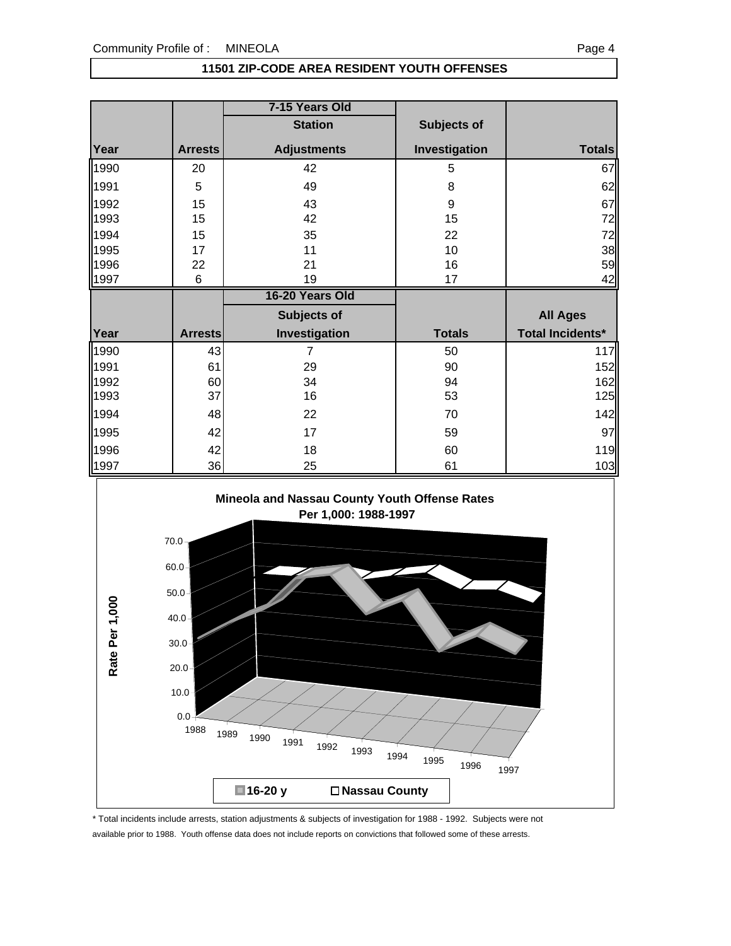### **11501 ZIP-CODE AREA RESIDENT YOUTH OFFENSES**

|      |                | 7-15 Years Old     |               |                         |
|------|----------------|--------------------|---------------|-------------------------|
|      |                | <b>Station</b>     | Subjects of   |                         |
| Year | <b>Arrests</b> | <b>Adjustments</b> | Investigation | <b>Totals</b>           |
| 1990 | 20             | 42                 | 5             | 67                      |
| 1991 | 5              | 49                 | 8             | 62                      |
| 1992 | 15             | 43                 | 9             | 67                      |
| 1993 | 15             | 42                 | 15            | 72                      |
| 1994 | 15             | 35                 | 22            | 72                      |
| 1995 | 17             | 11                 | 10            | 38                      |
| 1996 | 22             | 21                 | 16            | 59                      |
| 1997 | 6              | 19                 | 17            | 42                      |
|      |                |                    |               |                         |
|      |                | 16-20 Years Old    |               |                         |
|      |                | <b>Subjects of</b> |               | <b>All Ages</b>         |
| Year | <b>Arrests</b> | Investigation      | <b>Totals</b> | <b>Total Incidents*</b> |
| 1990 | 43             | $\overline{7}$     | 50            | 117                     |
| 1991 | 61             | 29                 | 90            | 152                     |
| 1992 | 60             | 34                 | 94            | 162                     |
| 1993 | 37             | 16                 | 53            | 125                     |
| 1994 | 48             | 22                 | 70            | 142                     |
| 1995 | 42             | 17                 | 59            |                         |
| 1996 | 42             | 18                 | 60            | 97<br>119               |



\* Total incidents include arrests, station adjustments & subjects of investigation for 1988 - 1992. Subjects were not available prior to 1988. Youth offense data does not include reports on convictions that followed some of these arrests.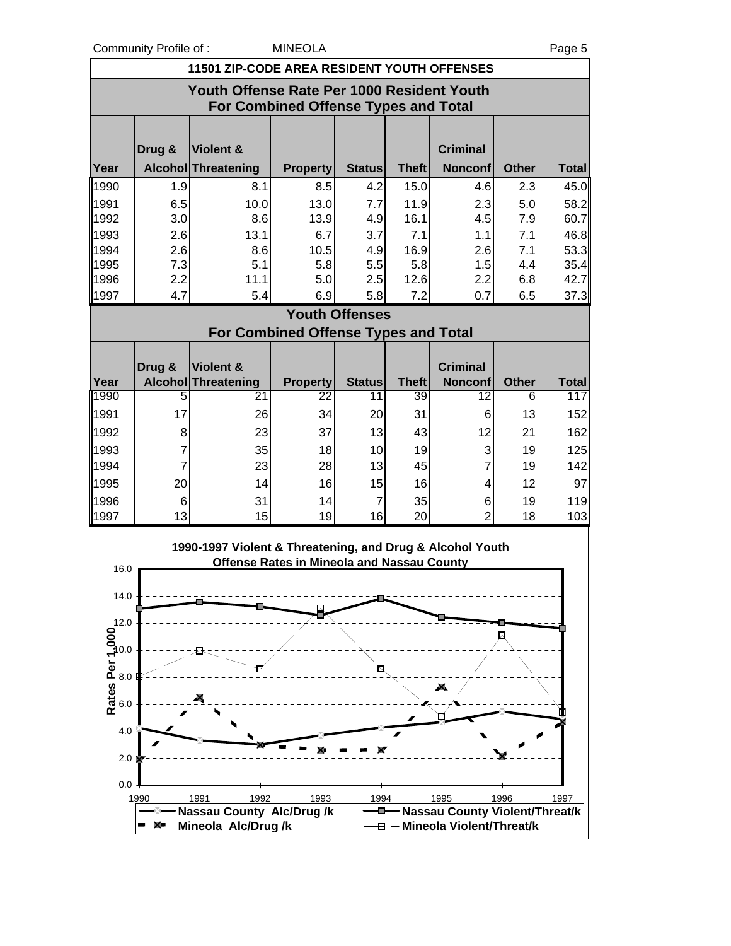Community Profile of : MINEOLA Page 5

|      | <b>COMMUNISHING OF .</b><br>ı ay <del>c</del> u    |                                                           |                                                   |                       |              |                 |                |              |  |
|------|----------------------------------------------------|-----------------------------------------------------------|---------------------------------------------------|-----------------------|--------------|-----------------|----------------|--------------|--|
|      | <b>11501 ZIP-CODE AREA RESIDENT YOUTH OFFENSES</b> |                                                           |                                                   |                       |              |                 |                |              |  |
|      | Youth Offense Rate Per 1000 Resident Youth         |                                                           |                                                   |                       |              |                 |                |              |  |
|      | <b>For Combined Offense Types and Total</b>        |                                                           |                                                   |                       |              |                 |                |              |  |
|      |                                                    |                                                           |                                                   |                       |              |                 |                |              |  |
|      | Drug &                                             | Violent &                                                 |                                                   |                       |              | <b>Criminal</b> |                |              |  |
| Year |                                                    | Alcohol Threatening                                       | <b>Property</b>                                   | <b>Status</b>         | <b>Theft</b> | <b>Nonconf</b>  | <b>Other</b>   | <b>Total</b> |  |
| 1990 | 1.9                                                | 8.1                                                       | 8.5                                               | 4.2                   | 15.0         | 4.6             | 2.3            | 45.0         |  |
| 1991 | 6.5                                                | 10.0                                                      | 13.0                                              | 7.7                   | 11.9         | 2.3             | 5.0            | 58.2         |  |
| 1992 | 3.0                                                | 8.6                                                       | 13.9                                              | 4.9                   | 16.1         | 4.5             | 7.9            | 60.7         |  |
| 1993 | 2.6                                                | 13.1                                                      | 6.7                                               | 3.7                   | 7.1          | 1.1             | 7.1            | 46.8         |  |
| 1994 | 2.6                                                | 8.6                                                       | 10.5                                              | 4.9                   | 16.9         | 2.6             | 7.1            | 53.3         |  |
| 1995 | 7.3                                                | 5.1                                                       | 5.8                                               | 5.5                   | 5.8          | 1.5             | 4.4            | 35.4         |  |
| 1996 | 2.2                                                | 11.1                                                      | 5.0                                               | 2.5                   | 12.6         | 2.2             | 6.8            | 42.7         |  |
| 1997 | 4.7                                                | 5.4                                                       | 6.9                                               | 5.8                   | 7.2          | 0.7             | 6.5            | 37.3         |  |
|      |                                                    |                                                           |                                                   | <b>Youth Offenses</b> |              |                 |                |              |  |
|      |                                                    |                                                           | <b>For Combined Offense Types and Total</b>       |                       |              |                 |                |              |  |
|      | Drug &                                             | Violent &                                                 |                                                   |                       |              | <b>Criminal</b> |                |              |  |
| Year |                                                    | Alcohol Threatening                                       | <b>Property</b>                                   | <b>Status</b>         | <b>Theft</b> | <b>Nonconf</b>  | Other          | <b>Total</b> |  |
| 1990 | 5                                                  | 21                                                        | 22                                                | 11                    | 39           | 12              | $\overline{6}$ | 117          |  |
| 1991 | 17                                                 | 26                                                        | 34                                                | 20                    | 31           | 6               | 13             | 152          |  |
| 1992 | 8                                                  | 23                                                        | 37                                                | 13                    | 43           | 12              | 21             | 162          |  |
| 1993 | $\overline{7}$                                     | 35                                                        | 18                                                | 10                    | 19           | 3               | 19             | 125          |  |
| 1994 | $\overline{7}$                                     | 23                                                        | 28                                                | 13                    | 45           | 7               | 19             | 142          |  |
| 1995 | 20                                                 | 14                                                        | 16                                                | 15                    | 16           | 4               | 12             | 97           |  |
| 1996 | 6                                                  | 31                                                        | 14                                                | $\overline{7}$        | 35           | 6               | 19             | 119          |  |
| 1997 | 13                                                 | 15                                                        | 19                                                | 16                    | 20           | 2               | 18             | 103          |  |
|      |                                                    |                                                           |                                                   |                       |              |                 |                |              |  |
|      |                                                    | 1990-1997 Violent & Threatening, and Drug & Alcohol Youth |                                                   |                       |              |                 |                |              |  |
| 16.0 |                                                    |                                                           | <b>Offense Rates in Mineola and Nassau County</b> |                       |              |                 |                |              |  |
|      |                                                    |                                                           |                                                   |                       |              |                 |                |              |  |
| 14.0 |                                                    |                                                           |                                                   |                       |              |                 |                |              |  |

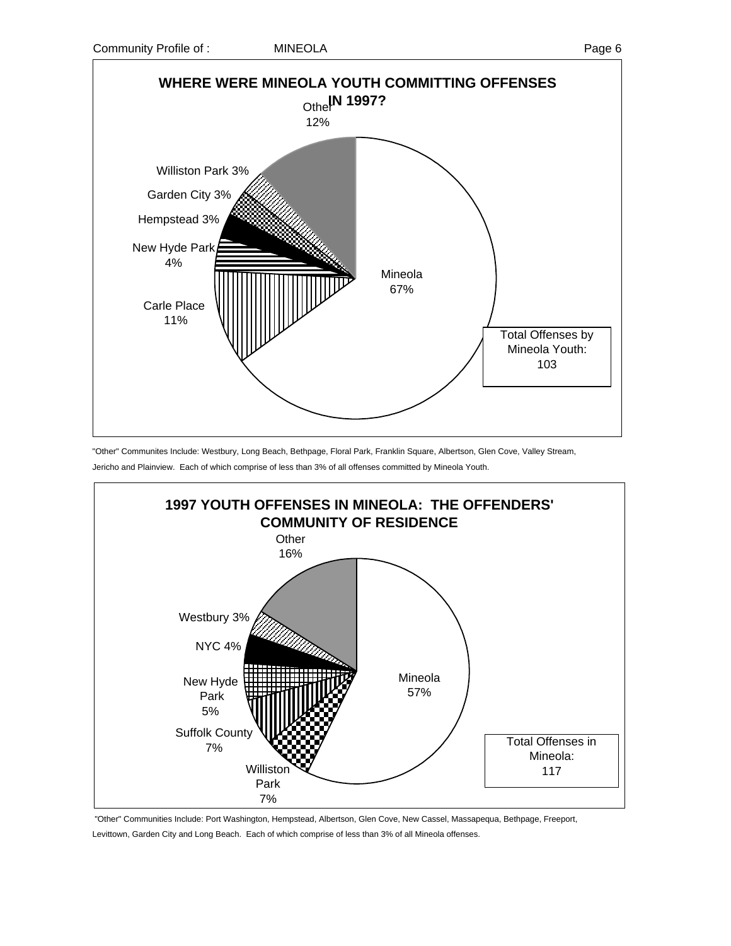

"Other" Communites Include: Westbury, Long Beach, Bethpage, Floral Park, Franklin Square, Albertson, Glen Cove, Valley Stream, Jericho and Plainview. Each of which comprise of less than 3% of all offenses committed by Mineola Youth.



 "Other" Communities Include: Port Washington, Hempstead, Albertson, Glen Cove, New Cassel, Massapequa, Bethpage, Freeport, Levittown, Garden City and Long Beach. Each of which comprise of less than 3% of all Mineola offenses.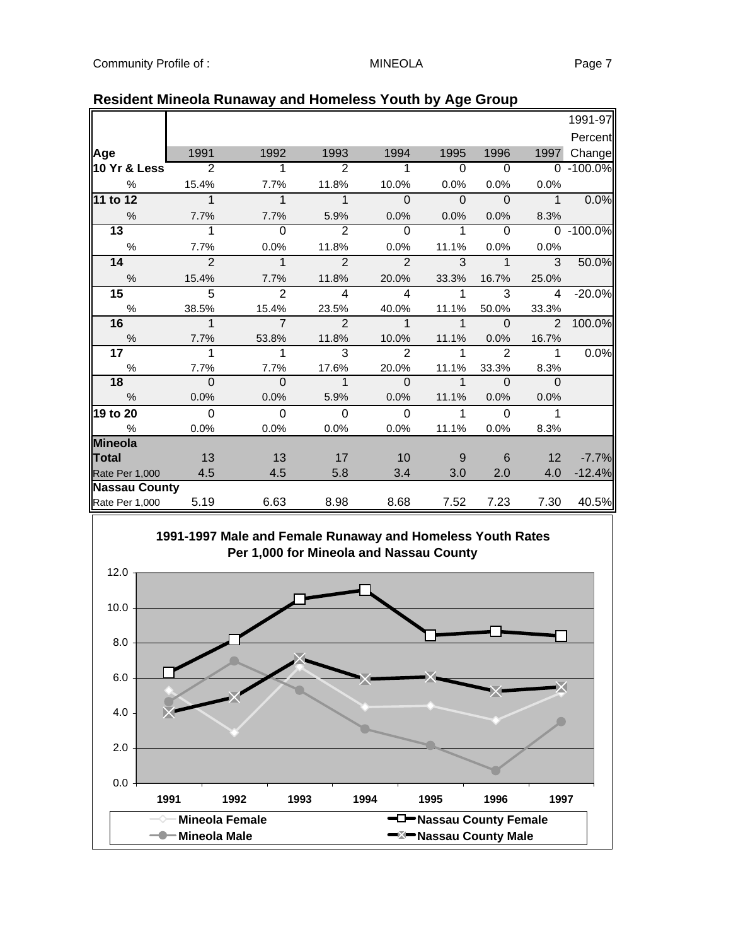|                 |                           |                |                |                |                |                         |                 | 1991-97   |
|-----------------|---------------------------|----------------|----------------|----------------|----------------|-------------------------|-----------------|-----------|
|                 |                           |                |                |                |                |                         |                 | Percent   |
| Age             | 1991                      | 1992           | 1993           | 1994           | 1995           | 1996                    | 1997            | Change    |
| ∥10 Yr & Less   | $\overline{\phantom{0}2}$ | 1              | 2              | 1              | $\Omega$       | $\Omega$                |                 | 0 -100.0% |
| $\%$            | 15.4%                     | 7.7%           | 11.8%          | 10.0%          | 0.0%           | 0.0%                    | 0.0%            |           |
| 11 to 12        | $\overline{1}$            | $\overline{1}$ | $\mathbf{1}$   | $\Omega$       | $\overline{0}$ | $\Omega$                | $\overline{1}$  | 0.0%      |
| $\%$            | 7.7%                      | 7.7%           | 5.9%           | 0.0%           | 0.0%           | 0.0%                    | 8.3%            |           |
| $\overline{13}$ | 1                         | $\Omega$       | 2              | $\Omega$       | $\mathbf{1}$   | $\Omega$                |                 | 0 -100.0% |
| $\frac{0}{0}$   | 7.7%                      | 0.0%           | 11.8%          | 0.0%           | 11.1%          | 0.0%                    | 0.0%            |           |
| 14              | $\overline{2}$            | $\mathbf{1}$   | $\overline{2}$ | $\overline{2}$ | 3              | $\mathbf{1}$            | $\overline{3}$  | 50.0%     |
| %               | 15.4%                     | 7.7%           | 11.8%          | 20.0%          | 33.3%          | 16.7%                   | 25.0%           |           |
| 15              | $\overline{5}$            | $\overline{2}$ | $\overline{4}$ | $\overline{4}$ | 1              | $\overline{3}$          | $\overline{4}$  | $-20.0%$  |
| %               | 38.5%                     | 15.4%          | 23.5%          | 40.0%          | 11.1%          | 50.0%                   | 33.3%           |           |
| 16              | $\overline{1}$            | $\overline{7}$ | $\mathcal{P}$  | $\mathbf{1}$   | $\mathbf 1$    | $\overline{\mathbf{0}}$ | $\overline{2}$  | 100.0%    |
| %               | 7.7%                      | 53.8%          | 11.8%          | 10.0%          | 11.1%          | 0.0%                    | 16.7%           |           |
| 17 <sub>1</sub> | 1                         | 1              | 3              | $\mathcal{P}$  |                | $\mathcal{P}$           | $\overline{1}$  | 0.0%      |
| $\%$            | 7.7%                      | 7.7%           | 17.6%          | 20.0%          | 11.1%          | 33.3%                   | 8.3%            |           |
| 18              | $\overline{0}$            | $\overline{0}$ | $\overline{1}$ | $\Omega$       | $\mathbf 1$    | $\Omega$                | $\mathbf{0}$    |           |
| %               | 0.0%                      | 0.0%           | 5.9%           | 0.0%           | 11.1%          | 0.0%                    | 0.0%            |           |
| 19 to 20        | $\Omega$                  | $\Omega$       | $\mathbf 0$    | $\Omega$       | 1              | $\mathbf 0$             | $\mathbf 1$     |           |
| %               | 0.0%                      | 0.0%           | 0.0%           | 0.0%           | 11.1%          | 0.0%                    | 8.3%            |           |
| Mineola         |                           |                |                |                |                |                         |                 |           |
| Total           | 13                        | 13             | 17             | 10             | 9              | 6                       | 12 <sup>2</sup> | $-7.7%$   |
| Rate Per 1,000  | 4.5                       | 4.5            | 5.8            | 3.4            | 3.0            | 2.0                     | 4.0             | $-12.4%$  |
| Nassau County   |                           |                |                |                |                |                         |                 |           |
| Rate Per 1,000  | 5.19                      | 6.63           | 8.98           | 8.68           | 7.52           | 7.23                    | 7.30            | 40.5%     |

## **Resident Mineola Runaway and Homeless Youth by Age Group**

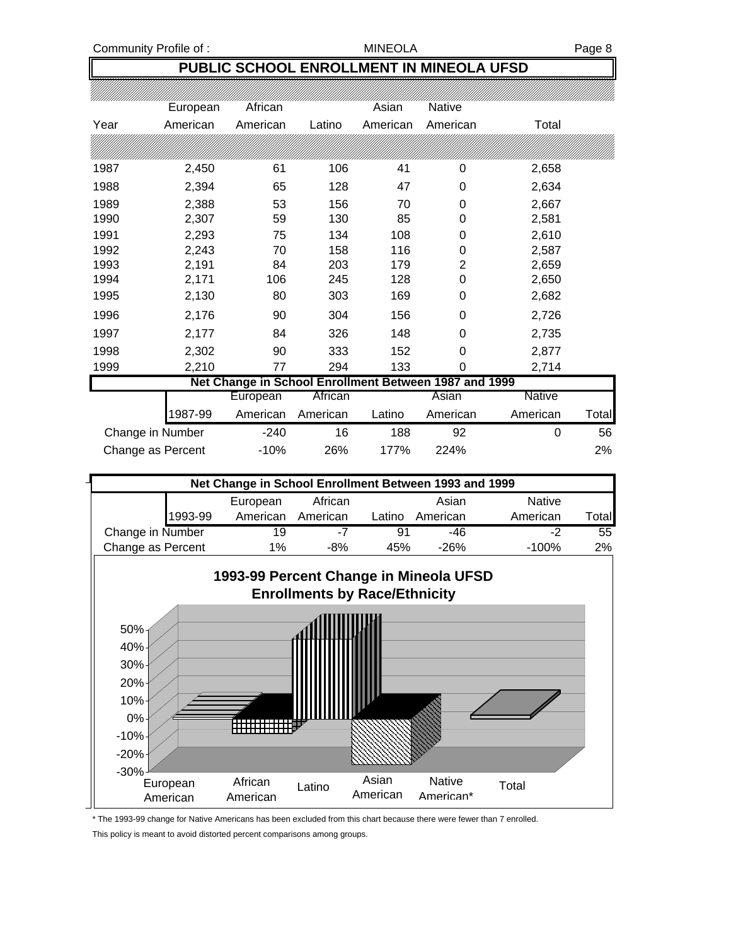# **PUBLIC SCHOOL ENROLLMENT IN MINEOLA UFSD**

|                  | European | African                                               |          | Asian    | Native   |          |       |
|------------------|----------|-------------------------------------------------------|----------|----------|----------|----------|-------|
| Year             | American | American                                              | Latino   | American | American | Total    |       |
|                  |          |                                                       |          |          |          |          |       |
| 1987             | 2,450    | 61                                                    | 106      | 41       | 0        | 2,658    |       |
| 1988             | 2,394    | 65                                                    | 128      | 47       | 0        | 2,634    |       |
| 1989             | 2,388    | 53                                                    | 156      | 70       | 0        | 2,667    |       |
| 1990             | 2,307    | 59                                                    | 130      | 85       | 0        | 2,581    |       |
| 1991             | 2,293    | 75                                                    | 134      | 108      | 0        | 2,610    |       |
| 1992             | 2,243    | 70                                                    | 158      | 116      | 0        | 2,587    |       |
| 1993             | 2,191    | 84                                                    | 203      | 179      | 2        | 2,659    |       |
| 1994             | 2,171    | 106                                                   | 245      | 128      | 0        | 2,650    |       |
| 1995             | 2,130    | 80                                                    | 303      | 169      | 0        | 2,682    |       |
| 1996             | 2,176    | 90                                                    | 304      | 156      | 0        | 2,726    |       |
| 1997             | 2,177    | 84                                                    | 326      | 148      | 0        | 2,735    |       |
| 1998             | 2,302    | 90                                                    | 333      | 152      | 0        | 2,877    |       |
| 1999             | 2,210    | 77                                                    | 294      | 133      | 0        | 2,714    |       |
|                  |          | Net Change in School Enrollment Between 1987 and 1999 |          |          |          |          |       |
|                  |          | European                                              | African  |          | Asian    | Native   |       |
|                  | 1987-99  | American                                              | American | Latino   | American | American | Total |
| Change in Number |          | $-240$                                                | 16       | 188      | 92       | 0        | 56    |

|                         | Net Change in School Enrollment Between 1993 and 1999 |     |            |      |    |
|-------------------------|-------------------------------------------------------|-----|------------|------|----|
| Change as Percent       | -10%                                                  | 26% | 177%       | 224% | 2% |
| <b>UNDER THE PRINCE</b> | 2 T U                                                 |     | . <u>.</u> | ີ    | ື  |

| Net Change in School Enrollment Between 1993 and 1999 |          |          |        |          |               |              |  |  |
|-------------------------------------------------------|----------|----------|--------|----------|---------------|--------------|--|--|
|                                                       | European | African  |        | Asian    | <b>Native</b> |              |  |  |
| 1993-99                                               | American | American | Latino | American | American      | <b>Total</b> |  |  |
| Change in Number                                      | 19       | -7       | 91     | -46      | -2            | 55           |  |  |
| Change as Percent                                     | $1\%$    | $-8%$    | 45%    | -26%     | $-100%$       | 2%           |  |  |
|                                                       |          |          |        |          |               |              |  |  |



<sup>\*</sup> The 1993-99 change for Native Americans has been excluded from this chart because there were fewer than 7 enrolled.

This policy is meant to avoid distorted percent comparisons among groups.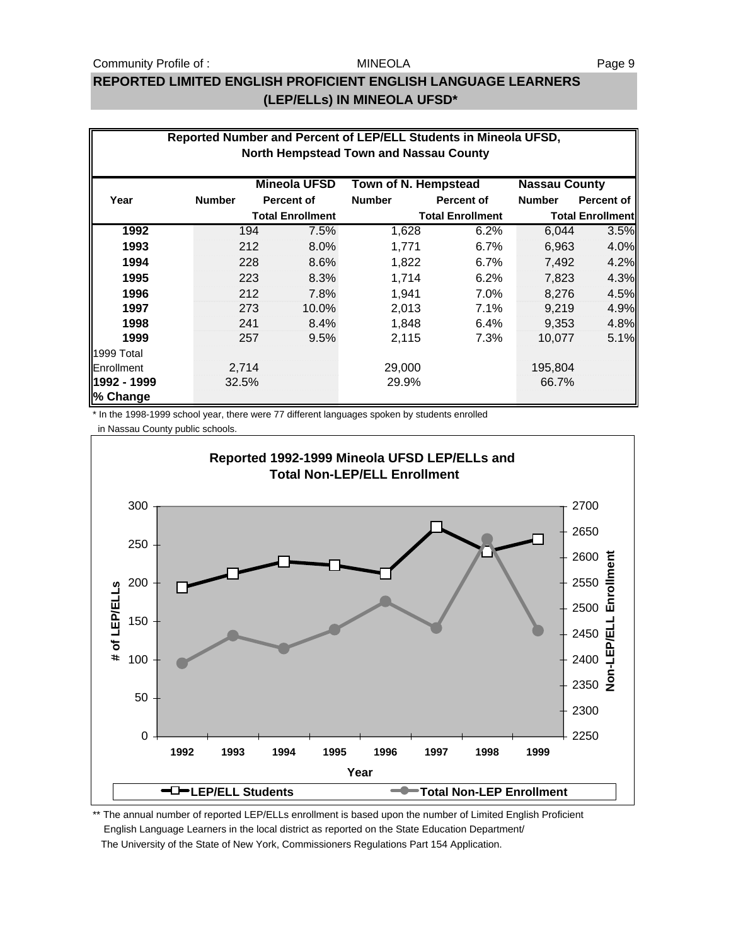#### Community Profile of : The MINEOLA MINEOLA Rage 9

#### MINEOLA

## **REPORTED LIMITED ENGLISH PROFICIENT ENGLISH LANGUAGE LEARNERS (LEP/ELLs) IN MINEOLA UFSD\***

|                         | Reported Number and Percent of LEP/ELL Students in Mineola UFSD,<br><b>North Hempstead Town and Nassau County</b> |     |                         |                      |                         |               |                         |  |  |  |
|-------------------------|-------------------------------------------------------------------------------------------------------------------|-----|-------------------------|----------------------|-------------------------|---------------|-------------------------|--|--|--|
|                         |                                                                                                                   |     | <b>Mineola UFSD</b>     | Town of N. Hempstead |                         |               | <b>Nassau County</b>    |  |  |  |
| Year                    | <b>Number</b>                                                                                                     |     | <b>Percent of</b>       | <b>Number</b>        | <b>Percent of</b>       | <b>Number</b> | <b>Percent of</b>       |  |  |  |
|                         |                                                                                                                   |     | <b>Total Enrollment</b> |                      | <b>Total Enrollment</b> |               | <b>Total Enrollment</b> |  |  |  |
| 1992                    |                                                                                                                   | 194 | 7.5%                    | 1,628                | 6.2%                    | 6,044         | 3.5%                    |  |  |  |
| 1993                    |                                                                                                                   | 212 | 8.0%                    | 1,771                | 6.7%                    | 6,963         | 4.0%                    |  |  |  |
| 1994                    |                                                                                                                   | 228 | 8.6%                    | 1,822                | 6.7%                    | 7,492         | 4.2%                    |  |  |  |
| 1995                    |                                                                                                                   | 223 | 8.3%                    | 1,714                | 6.2%                    | 7,823         | 4.3%                    |  |  |  |
| 1996                    |                                                                                                                   | 212 | 7.8%                    | 1,941                | 7.0%                    | 8,276         | 4.5%                    |  |  |  |
| 1997                    |                                                                                                                   | 273 | 10.0%                   | 2,013                | 7.1%                    | 9,219         | 4.9%                    |  |  |  |
| 1998                    |                                                                                                                   | 241 | 8.4%                    | 1,848                | 6.4%                    | 9,353         | 4.8%                    |  |  |  |
| 1999                    |                                                                                                                   | 257 | 9.5%                    | 2,115                | 7.3%                    | 10,077        | 5.1%                    |  |  |  |
| 1999 Total              |                                                                                                                   |     |                         |                      |                         |               |                         |  |  |  |
| Enrollment              | 2,714                                                                                                             |     |                         | 29,000               |                         | 195,804       |                         |  |  |  |
| 1992 - 1999<br>% Change | 32.5%                                                                                                             |     |                         | 29.9%                |                         | 66.7%         |                         |  |  |  |

\* In the 1998-1999 school year, there were 77 different languages spoken by students enrolled



\*\* The annual number of reported LEP/ELLs enrollment is based upon the number of Limited English Proficient English Language Learners in the local district as reported on the State Education Department/ The University of the State of New York, Commissioners Regulations Part 154 Application.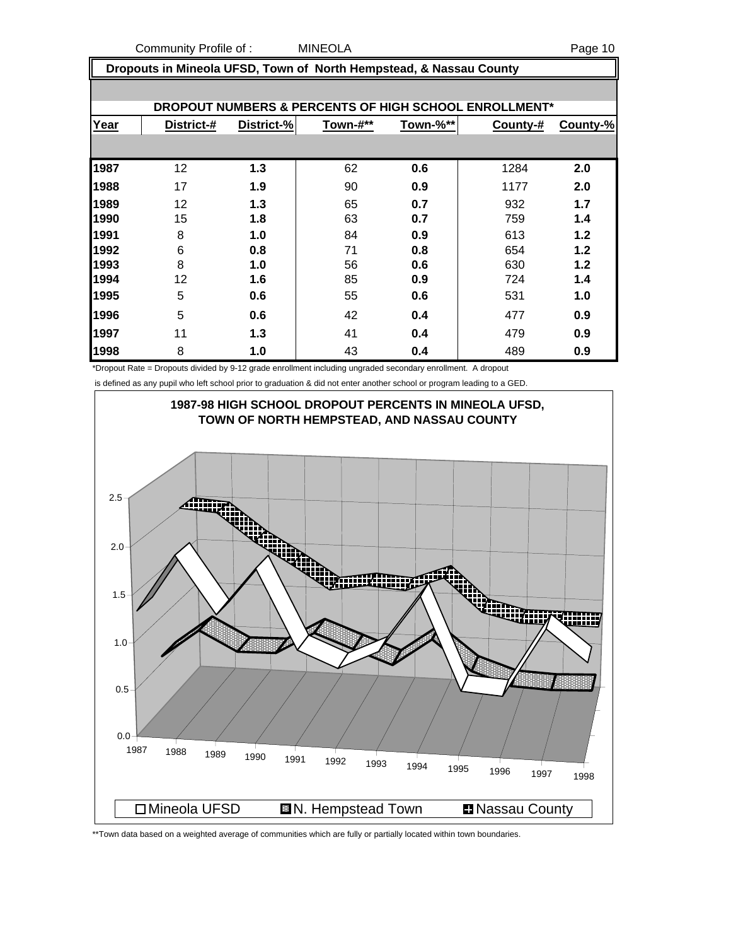Community Profile of : MINEOLA Page 10

 **Dropouts in Mineola UFSD, Town of North Hempstead, & Nassau County**

| DROPOUT NUMBERS & PERCENTS OF HIGH SCHOOL ENROLLMENT* |            |            |          |          |          |          |  |  |  |
|-------------------------------------------------------|------------|------------|----------|----------|----------|----------|--|--|--|
| Year                                                  | District-# | District-% | Town-#** | Town-%** | County-# | County-% |  |  |  |
|                                                       |            |            |          |          |          |          |  |  |  |
| 1987                                                  | 12         | 1.3        | 62       | 0.6      | 1284     | 2.0      |  |  |  |
| 1988                                                  | 17         | 1.9        | 90       | 0.9      | 1177     | 2.0      |  |  |  |
| 1989                                                  | 12         | 1.3        | 65       | 0.7      | 932      | 1.7      |  |  |  |
| 1990                                                  | 15         | 1.8        | 63       | 0.7      | 759      | 1.4      |  |  |  |
| 1991                                                  | 8          | 1.0        | 84       | 0.9      | 613      | 1.2      |  |  |  |
| 1992                                                  | 6          | 0.8        | 71       | 0.8      | 654      | 1.2      |  |  |  |
| 1993                                                  | 8          | 1.0        | 56       | 0.6      | 630      | 1.2      |  |  |  |
| 1994                                                  | 12         | 1.6        | 85       | 0.9      | 724      | 1.4      |  |  |  |
| 1995                                                  | 5          | 0.6        | 55       | 0.6      | 531      | 1.0      |  |  |  |
| 1996                                                  | 5          | 0.6        | 42       | 0.4      | 477      | 0.9      |  |  |  |
| 1997                                                  | 11         | 1.3        | 41       | 0.4      | 479      | 0.9      |  |  |  |
| 1998                                                  | 8          | 1.0        | 43       | 0.4      | 489      | 0.9      |  |  |  |

\*Dropout Rate = Dropouts divided by 9-12 grade enrollment including ungraded secondary enrollment. A dropout

is defined as any pupil who left school prior to graduation & did not enter another school or program leading to a GED.



\*\*Town data based on a weighted average of communities which are fully or partially located within town boundaries.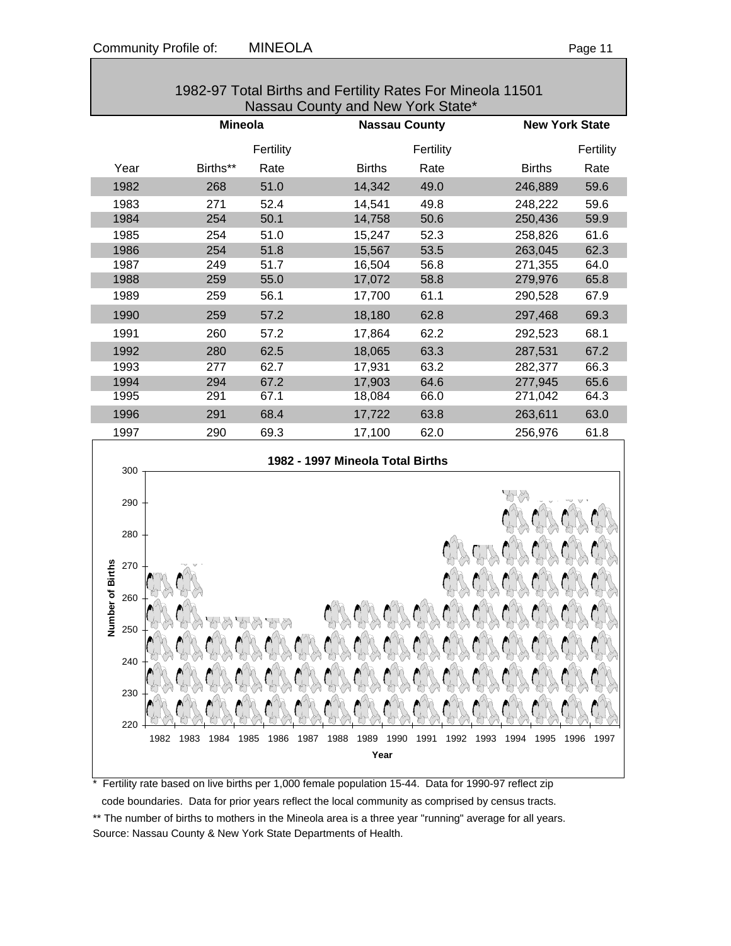| 1982-97 Total Births and Fertility Rates For Mineola 11501<br>Nassau County and New York State* |      |                                        |              |                                  |               |  |           |                          |      |               |      |           |
|-------------------------------------------------------------------------------------------------|------|----------------------------------------|--------------|----------------------------------|---------------|--|-----------|--------------------------|------|---------------|------|-----------|
|                                                                                                 |      | <b>Mineola</b><br><b>Nassau County</b> |              | <b>New York State</b>            |               |  |           |                          |      |               |      |           |
|                                                                                                 |      |                                        | Fertility    |                                  |               |  | Fertility |                          |      |               |      | Fertility |
| Year                                                                                            |      | Births**                               | Rate         |                                  | <b>Births</b> |  | Rate      |                          |      | <b>Births</b> |      | Rate      |
| 1982                                                                                            |      | 268                                    | 51.0         |                                  | 14,342        |  | 49.0      |                          |      | 246,889       |      | 59.6      |
| 1983                                                                                            |      | 271                                    | 52.4         |                                  | 14,541        |  | 49.8      |                          |      | 248,222       |      | 59.6      |
| 1984                                                                                            |      | 254                                    | 50.1         |                                  | 14,758        |  | 50.6      |                          |      | 250,436       |      | 59.9      |
| 1985                                                                                            |      | 254                                    | 51.0         |                                  | 15,247        |  | 52.3      |                          |      | 258,826       |      | 61.6      |
| 1986                                                                                            |      | 254                                    | 51.8         |                                  | 15,567        |  | 53.5      |                          |      | 263,045       |      | 62.3      |
| 1987                                                                                            |      | 249                                    | 51.7         |                                  | 16,504        |  | 56.8      |                          |      | 271,355       |      | 64.0      |
| 1988                                                                                            |      | 259                                    | 55.0         |                                  | 17,072        |  | 58.8      |                          |      | 279,976       |      | 65.8      |
| 1989                                                                                            |      | 259                                    | 56.1         |                                  | 17,700        |  | 61.1      |                          |      | 290,528       |      | 67.9      |
| 1990                                                                                            |      | 259                                    | 57.2         |                                  | 18,180        |  | 62.8      |                          |      | 297,468       |      | 69.3      |
| 1991                                                                                            |      | 260                                    | 57.2         |                                  | 17,864        |  | 62.2      |                          |      | 292,523       |      | 68.1      |
| 1992                                                                                            |      | 280                                    | 62.5         |                                  | 18,065        |  | 63.3      |                          |      | 287,531       |      | 67.2      |
| 1993                                                                                            |      | 277                                    | 62.7         |                                  | 17,931        |  | 63.2      |                          |      | 282,377       |      | 66.3      |
| 1994                                                                                            |      | 294                                    | 67.2         |                                  | 17,903        |  | 64.6      |                          |      | 277,945       |      | 65.6      |
| 1995                                                                                            |      | 291                                    | 67.1         |                                  | 18,084        |  | 66.0      |                          |      | 271,042       |      | 64.3      |
| 1996                                                                                            |      | 291                                    | 68.4         |                                  | 17,722        |  | 63.8      |                          |      | 263,611       |      | 63.0      |
| 1997                                                                                            |      | 290                                    | 69.3         |                                  | 17,100        |  | 62.0      |                          |      | 256,976       |      | 61.8      |
|                                                                                                 |      |                                        |              | 1982 - 1997 Mineola Total Births |               |  |           |                          |      |               |      |           |
| 300                                                                                             |      |                                        |              |                                  |               |  |           |                          |      |               |      |           |
| 290                                                                                             |      |                                        |              |                                  |               |  |           |                          |      |               |      |           |
|                                                                                                 |      |                                        |              |                                  |               |  |           |                          |      |               |      |           |
| 280                                                                                             |      |                                        |              |                                  |               |  |           |                          |      |               |      |           |
| 270                                                                                             |      |                                        |              |                                  |               |  |           |                          |      |               |      |           |
| nber of Births<br>260                                                                           |      |                                        |              |                                  |               |  |           |                          |      |               |      |           |
|                                                                                                 |      |                                        |              |                                  |               |  |           |                          |      |               |      |           |
| ž<br>250                                                                                        |      |                                        |              |                                  |               |  |           |                          |      |               |      |           |
|                                                                                                 |      |                                        |              |                                  |               |  |           |                          |      |               |      |           |
| 240                                                                                             |      |                                        |              |                                  |               |  |           |                          |      |               |      |           |
| 230                                                                                             |      |                                        |              |                                  |               |  |           |                          |      |               |      |           |
|                                                                                                 |      |                                        |              |                                  |               |  |           |                          |      |               |      |           |
| 220                                                                                             | 1983 | 1984                                   | 1985<br>1986 | 1987<br>1988                     |               |  |           | 1989 1990 1991 1992 1993 | 1994 | 1995          | 1996 |           |
|                                                                                                 | 1982 |                                        |              |                                  | Year          |  |           |                          |      |               |      | 1997      |

\* Fertility rate based on live births per 1,000 female population 15-44. Data for 1990-97 reflect zip code boundaries. Data for prior years reflect the local community as comprised by census tracts. \*\* The number of births to mothers in the Mineola area is a three year "running" average for all years.

Source: Nassau County & New York State Departments of Health.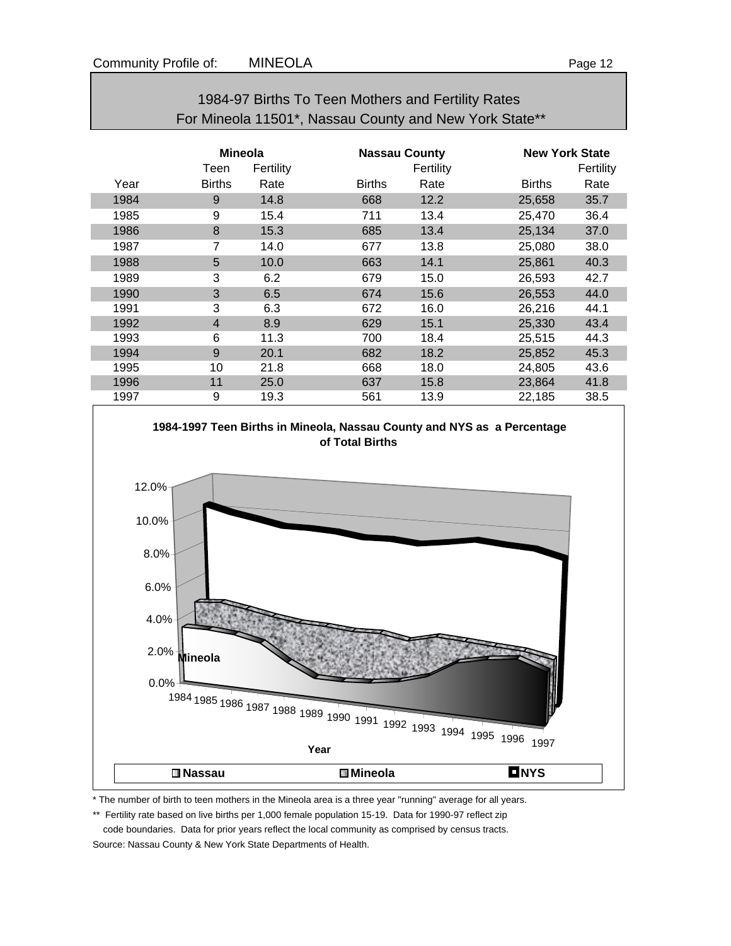|      |                                     |      | For Mineola 11501*, Nassau County and New York State** |           |               |                                    |  |  |
|------|-------------------------------------|------|--------------------------------------------------------|-----------|---------------|------------------------------------|--|--|
|      | <b>Mineola</b><br>Teen<br>Fertility |      | <b>Nassau County</b>                                   | Fertility |               | <b>New York State</b><br>Fertility |  |  |
| Year | <b>Births</b>                       | Rate | <b>Births</b>                                          | Rate      | <b>Births</b> | Rate                               |  |  |
| 1984 | 9                                   | 14.8 | 668                                                    | 12.2      | 25,658        | 35.7                               |  |  |
| 1985 | 9                                   | 15.4 | 711                                                    | 13.4      | 25,470        | 36.4                               |  |  |
| 1986 | 8                                   | 15.3 | 685                                                    | 13.4      | 25,134        | 37.0                               |  |  |
| 1987 | 7                                   | 14.0 | 677                                                    | 13.8      | 25,080        | 38.0                               |  |  |
| 1988 | 5                                   | 10.0 | 663                                                    | 14.1      | 25,861        | 40.3                               |  |  |
| 1989 | 3                                   | 6.2  | 679                                                    | 15.0      | 26,593        | 42.7                               |  |  |
| 1990 | 3                                   | 6.5  | 674                                                    | 15.6      | 26,553        | 44.0                               |  |  |
| 1991 | 3                                   | 6.3  | 672                                                    | 16.0      | 26,216        | 44.1                               |  |  |
| 1992 | 4                                   | 8.9  | 629                                                    | 15.1      | 25,330        | 43.4                               |  |  |
| 1993 | 6                                   | 11.3 | 700                                                    | 18.4      | 25,515        | 44.3                               |  |  |
| 1994 | 9                                   | 20.1 | 682                                                    | 18.2      | 25,852        | 45.3                               |  |  |
| 1995 | 10                                  | 21.8 | 668                                                    | 18.0      | 24,805        | 43.6                               |  |  |
| 1996 | 11                                  | 25.0 | 637                                                    | 15.8      | 23,864        | 41.8                               |  |  |
| 1997 | 9                                   | 19.3 | 561                                                    | 13.9      | 22,185        | 38.5                               |  |  |





\* The number of birth to teen mothers in the Mineola area is a three year "running" average for all years.

\*\* Fertility rate based on live births per 1,000 female population 15-19. Data for 1990-97 reflect zip

 code boundaries. Data for prior years reflect the local community as comprised by census tracts. Source: Nassau County & New York State Departments of Health.